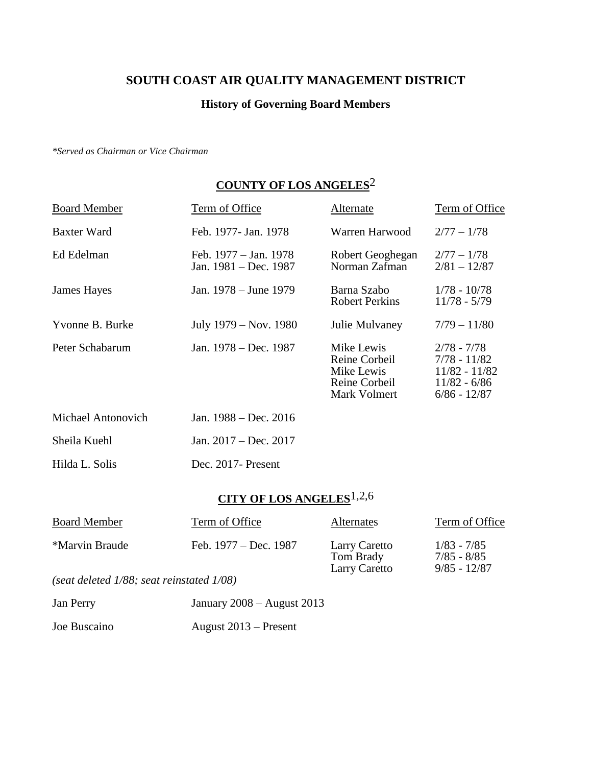#### **SOUTH COAST AIR QUALITY MANAGEMENT DISTRICT**

#### **History of Governing Board Members**

*\*Served as Chairman or Vice Chairman*

### **COUNTY OF LOS ANGELES**2

| <b>Board Member</b> | Term of Office                                 | Alternate                                                                  | Term of Office                                                                       |
|---------------------|------------------------------------------------|----------------------------------------------------------------------------|--------------------------------------------------------------------------------------|
| Baxter Ward         | Feb. 1977- Jan. 1978                           | Warren Harwood                                                             | $2/77 - 1/78$                                                                        |
| Ed Edelman          | Feb. 1977 – Jan. 1978<br>Jan. 1981 - Dec. 1987 | Robert Geoghegan<br>Norman Zafman                                          | $2/77 - 1/78$<br>$2/81 - 12/87$                                                      |
| James Hayes         | Jan. 1978 – June 1979                          | Barna Szabo<br><b>Robert Perkins</b>                                       | $1/78 - 10/78$<br>$11/78 - 5/79$                                                     |
| Yvonne B. Burke     | July 1979 – Nov. 1980                          | Julie Mulvaney                                                             | $7/79 - 11/80$                                                                       |
| Peter Schabarum     | Jan. 1978 – Dec. 1987                          | Mike Lewis<br>Reine Corbeil<br>Mike Lewis<br>Reine Corbeil<br>Mark Volmert | $2/78 - 7/78$<br>7/78 - 11/82<br>$11/82 - 11/82$<br>$11/82 - 6/86$<br>$6/86 - 12/87$ |
| Michael Antonovich  | Jan. $1988 - Dec. 2016$                        |                                                                            |                                                                                      |

| Sheila Kuehl   | Jan. $2017 - Dec. 2017$ |
|----------------|-------------------------|
| Hilda L. Solis | Dec. 2017 - Present     |

### **CITY OF LOS ANGELES**1,2,6

| <b>Board Member</b>                               | Term of Office          | <b>Alternates</b>                                  | Term of Office                                   |
|---------------------------------------------------|-------------------------|----------------------------------------------------|--------------------------------------------------|
| *Marvin Braude                                    | Feb. $1977 - Dec. 1987$ | Larry Caretto<br>Tom Brady<br><b>Larry Caretto</b> | $1/83 - 7/85$<br>$7/85 - 8/85$<br>$9/85 - 12/87$ |
| $(s$ at deleted $1/R$ 8; sect reinstated $1/R$ 8) |                         |                                                    |                                                  |

*(seat deleted 1/88; seat reinstated 1/08)*

| Jan Perry    | January $2008 -$ August 2013 |
|--------------|------------------------------|
| Joe Buscaino | August $2013$ – Present      |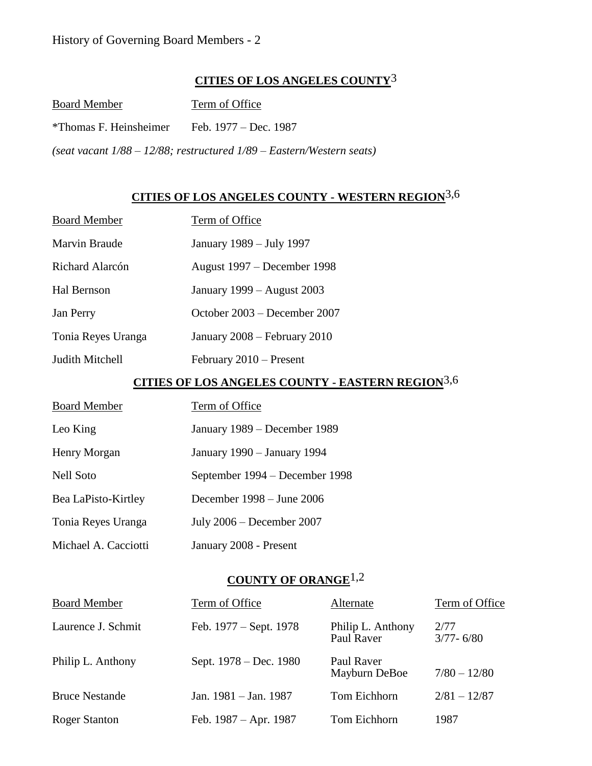### **CITIES OF LOS ANGELES COUNTY**3

| <b>Board Member</b>    | Term of Office                                                             |
|------------------------|----------------------------------------------------------------------------|
| *Thomas F. Heinsheimer | Feb. 1977 – Dec. 1987                                                      |
|                        | (seat vacant $1/88 - 12/88$ ; restructured $1/89 - Eastern/Western$ seats) |

## **CITIES OF LOS ANGELES COUNTY - WESTERN REGION**3,6

| <b>Board Member</b> | Term of Office                                          |
|---------------------|---------------------------------------------------------|
| Marvin Braude       | January 1989 - July 1997                                |
| Richard Alarcón     | August 1997 – December 1998                             |
| Hal Bernson         | January 1999 – August 2003                              |
| Jan Perry           | October 2003 – December 2007                            |
| Tonia Reyes Uranga  | January 2008 – February 2010                            |
| Judith Mitchell     | February 2010 – Present                                 |
|                     |                                                         |
|                     | <u>CITIES OF LOS ANGELES COUNTY - EASTERN REGION3,6</u> |
| <b>Board Member</b> | <b>Term of Office</b>                                   |
| Leo King            | January 1989 – December 1989                            |
| Henry Morgan        | January 1990 - January 1994                             |
| <b>Nell Soto</b>    | September 1994 – December 1998                          |
| Bea LaPisto-Kirtley | December $1998 -$ June 2006                             |
| Tonia Reyes Uranga  | July $2006$ – December 2007                             |

#### **COUNTY OF ORANGE**1,2

| <b>Board Member</b>   | Term of Office          | Alternate                       | Term of Office        |
|-----------------------|-------------------------|---------------------------------|-----------------------|
| Laurence J. Schmit    | Feb. 1977 – Sept. 1978  | Philip L. Anthony<br>Paul Raver | 2/77<br>$3/77 - 6/80$ |
| Philip L. Anthony     | Sept. 1978 – Dec. 1980  | Paul Raver<br>Mayburn DeBoe     | $7/80 - 12/80$        |
| <b>Bruce Nestande</b> | Jan. $1981 -$ Jan. 1987 | Tom Eichhorn                    | $2/81 - 12/87$        |
| <b>Roger Stanton</b>  | Feb. 1987 – Apr. 1987   | Tom Eichhorn                    | 1987                  |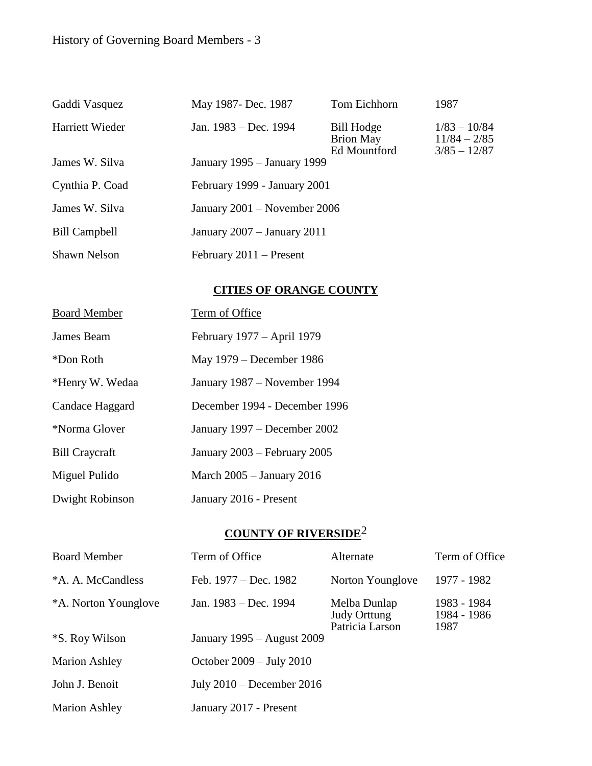## History of Governing Board Members - 3

| Gaddi Vasquez        | May 1987- Dec. 1987          | Tom Eichhorn                                   | 1987                                               |
|----------------------|------------------------------|------------------------------------------------|----------------------------------------------------|
| Harriett Wieder      | Jan. $1983 - Dec. 1994$      | Bill Hodge<br><b>Brion May</b><br>Ed Mountford | $1/83 - 10/84$<br>$11/84 - 2/85$<br>$3/85 - 12/87$ |
| James W. Silva       | January 1995 – January 1999  |                                                |                                                    |
| Cynthia P. Coad      | February 1999 - January 2001 |                                                |                                                    |
| James W. Silva       | January 2001 – November 2006 |                                                |                                                    |
| <b>Bill Campbell</b> | January 2007 - January 2011  |                                                |                                                    |
| <b>Shawn Nelson</b>  | February $2011$ – Present    |                                                |                                                    |

### **CITIES OF ORANGE COUNTY**

| <b>Board Member</b>   | Term of Office                |
|-----------------------|-------------------------------|
| James Beam            | February 1977 – April 1979    |
| *Don Roth             | May 1979 – December 1986      |
| *Henry W. Wedaa       | January 1987 – November 1994  |
| Candace Haggard       | December 1994 - December 1996 |
| *Norma Glover         | January 1997 – December 2002  |
| <b>Bill Craycraft</b> | January 2003 – February 2005  |
| Miguel Pulido         | March $2005 -$ January 2016   |
| Dwight Robinson       | January 2016 - Present        |

# **COUNTY OF RIVERSIDE**2

| <b>Board Member</b>   | Term of Office                     | Alternate                                       | Term of Office                     |
|-----------------------|------------------------------------|-------------------------------------------------|------------------------------------|
| *A. A. McCandless     | Feb. 1977 – Dec. 1982              | Norton Younglove                                | 1977 - 1982                        |
| *A. Norton Younglove  | Jan. 1983 – Dec. 1994              | Melba Dunlap<br>Judy Orttung<br>Patricia Larson | 1983 - 1984<br>1984 - 1986<br>1987 |
| <i>*S. Roy Wilson</i> | January 1995 – August 2009         |                                                 |                                    |
| <b>Marion Ashley</b>  | October $2009 - \text{July } 2010$ |                                                 |                                    |
| John J. Benoit        | July $2010$ – December $2016$      |                                                 |                                    |
| <b>Marion Ashley</b>  | January 2017 - Present             |                                                 |                                    |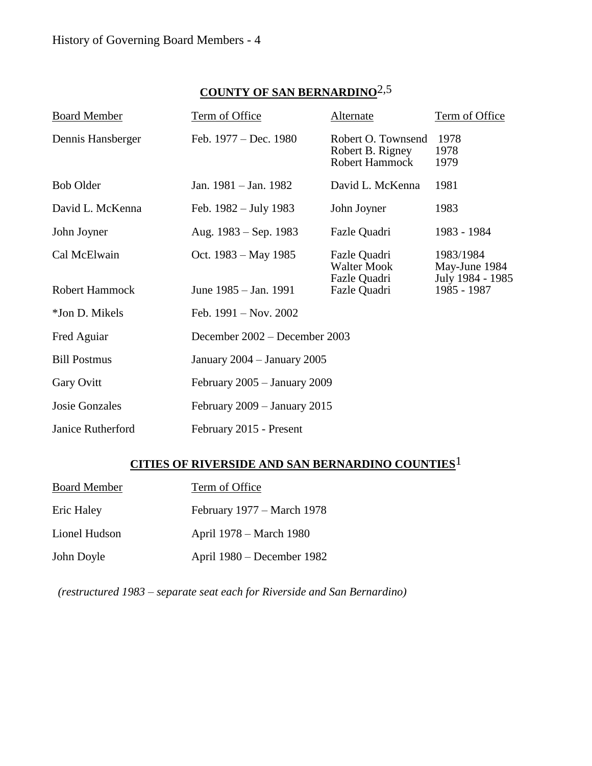### **COUNTY OF SAN BERNARDINO**2,5

| <b>Board Member</b>   | Term of Office                 | Alternate                                                       | Term of Office                                 |
|-----------------------|--------------------------------|-----------------------------------------------------------------|------------------------------------------------|
| Dennis Hansberger     | Feb. 1977 – Dec. 1980          | Robert O. Townsend<br>Robert B. Rigney<br><b>Robert Hammock</b> | 1978<br>1978<br>1979                           |
| <b>Bob Older</b>      | Jan. 1981 – Jan. 1982          | David L. McKenna                                                | 1981                                           |
| David L. McKenna      | Feb. $1982 - July 1983$        | John Joyner                                                     | 1983                                           |
| John Joyner           | Aug. $1983 -$ Sep. 1983        | Fazle Quadri                                                    | 1983 - 1984                                    |
| Cal McElwain          | Oct. $1983 - May 1985$         | Fazle Quadri<br><b>Walter Mook</b><br>Fazle Quadri              | 1983/1984<br>May-June 1984<br>July 1984 - 1985 |
| <b>Robert Hammock</b> | June 1985 – Jan. 1991          | Fazle Quadri                                                    | 1985 - 1987                                    |
| *Jon D. Mikels        | Feb. $1991 - Nov. 2002$        |                                                                 |                                                |
| Fred Aguiar           | December 2002 – December 2003  |                                                                 |                                                |
| <b>Bill Postmus</b>   | January 2004 - January 2005    |                                                                 |                                                |
| Gary Ovitt            | February $2005 -$ January 2009 |                                                                 |                                                |
| <b>Josie Gonzales</b> | February $2009 - January 2015$ |                                                                 |                                                |
| Janice Rutherford     | February 2015 - Present        |                                                                 |                                                |

## **CITIES OF RIVERSIDE AND SAN BERNARDINO COUNTIES**1

| <b>Board Member</b> | Term of Office             |
|---------------------|----------------------------|
| Eric Haley          | February 1977 – March 1978 |
| Lionel Hudson       | April 1978 – March 1980    |
| John Doyle          | April 1980 – December 1982 |

 *(restructured 1983 – separate seat each for Riverside and San Bernardino)*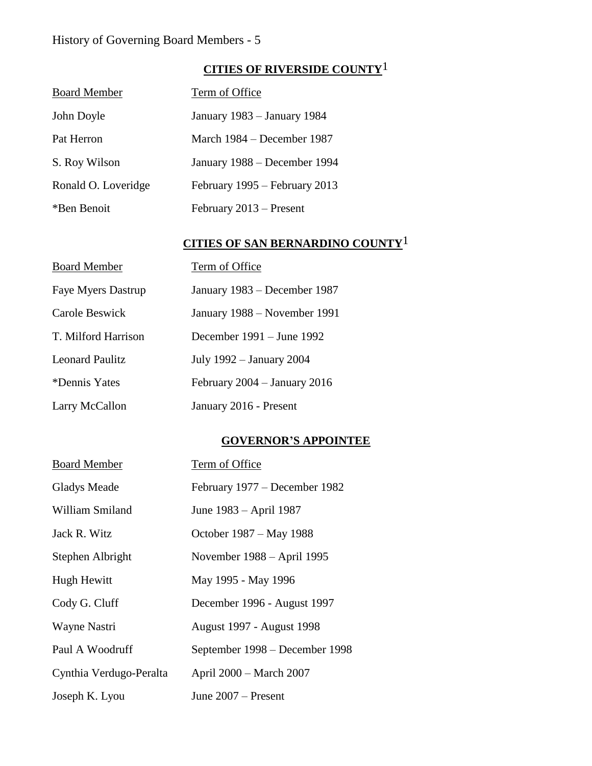### History of Governing Board Members - 5

### **CITIES OF RIVERSIDE COUNTY**1

| <b>Board Member</b> | Term of Office                |
|---------------------|-------------------------------|
| John Doyle          | January 1983 – January 1984   |
| Pat Herron          | March 1984 – December 1987    |
| S. Roy Wilson       | January 1988 – December 1994  |
| Ronald O. Loveridge | February 1995 – February 2013 |
| *Ben Benoit         | February 2013 – Present       |
|                     |                               |

### **CITIES OF SAN BERNARDINO COUNTY**1

| <b>Board Member</b>       | Term of Office                 |
|---------------------------|--------------------------------|
| <b>Faye Myers Dastrup</b> | January 1983 – December 1987   |
| Carole Beswick            | January 1988 – November 1991   |
| T. Milford Harrison       | December $1991 -$ June 1992    |
| <b>Leonard Paulitz</b>    | July 1992 – January 2004       |
| *Dennis Yates             | February $2004 -$ January 2016 |
| Larry McCallon            | January 2016 - Present         |

#### **GOVERNOR'S APPOINTEE**

| <b>Board Member</b>     | Term of Office                   |
|-------------------------|----------------------------------|
| <b>Gladys Meade</b>     | February 1977 – December 1982    |
| William Smiland         | June 1983 – April 1987           |
| Jack R. Witz            | October 1987 – May 1988          |
| Stephen Albright        | November 1988 – April 1995       |
| Hugh Hewitt             | May 1995 - May 1996              |
| Cody G. Cluff           | December 1996 - August 1997      |
| Wayne Nastri            | <b>August 1997 - August 1998</b> |
| Paul A Woodruff         | September 1998 - December 1998   |
| Cynthia Verdugo-Peralta | April 2000 – March 2007          |
| Joseph K. Lyou          | June $2007 -$ Present            |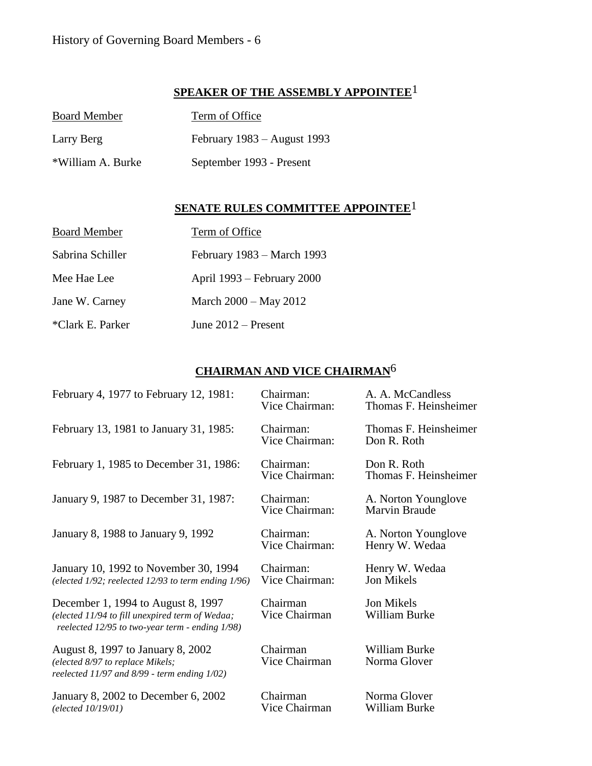### **SPEAKER OF THE ASSEMBLY APPOINTEE**1

| <b>Board Member</b> | Term of Office                |  |
|---------------------|-------------------------------|--|
| Larry Berg          | February $1983 -$ August 1993 |  |
| *William A. Burke   | September 1993 - Present      |  |

## **SENATE RULES COMMITTEE APPOINTEE**1

| <b>Board Member</b> | Term of Office             |
|---------------------|----------------------------|
| Sabrina Schiller    | February 1983 – March 1993 |
| Mee Hae Lee         | April 1993 – February 2000 |
| Jane W. Carney      | March 2000 – May 2012      |
| *Clark E. Parker    | June $2012$ – Present      |

### **CHAIRMAN AND VICE CHAIRMAN**6

| February 4, 1977 to February 12, 1981:                                                                                                   | Chairman:<br>Vice Chairman: | A. A. McCandless<br>Thomas F. Heinsheimer |
|------------------------------------------------------------------------------------------------------------------------------------------|-----------------------------|-------------------------------------------|
| February 13, 1981 to January 31, 1985:                                                                                                   | Chairman:<br>Vice Chairman: | Thomas F. Heinsheimer<br>Don R. Roth      |
| February 1, 1985 to December 31, 1986:                                                                                                   | Chairman:<br>Vice Chairman: | Don R. Roth<br>Thomas F. Heinsheimer      |
| January 9, 1987 to December 31, 1987:                                                                                                    | Chairman:<br>Vice Chairman: | A. Norton Younglove<br>Marvin Braude      |
| January 8, 1988 to January 9, 1992                                                                                                       | Chairman:<br>Vice Chairman: | A. Norton Younglove<br>Henry W. Wedaa     |
| January 10, 1992 to November 30, 1994<br>(elected $1/92$ ; reelected $12/93$ to term ending $1/96$ )                                     | Chairman:<br>Vice Chairman: | Henry W. Wedaa<br>Jon Mikels              |
| December 1, 1994 to August 8, 1997<br>(elected 11/94 to fill unexpired term of Wedaa;<br>reelected 12/95 to two-year term - ending 1/98) | Chairman<br>Vice Chairman   | Jon Mikels<br>William Burke               |
| August 8, 1997 to January 8, 2002<br>(elected 8/97 to replace Mikels;<br>reelected 11/97 and 8/99 - term ending 1/02)                    | Chairman<br>Vice Chairman   | William Burke<br>Norma Glover             |
| January 8, 2002 to December 6, 2002<br>(elected 10/19/01)                                                                                | Chairman<br>Vice Chairman   | Norma Glover<br>William Burke             |